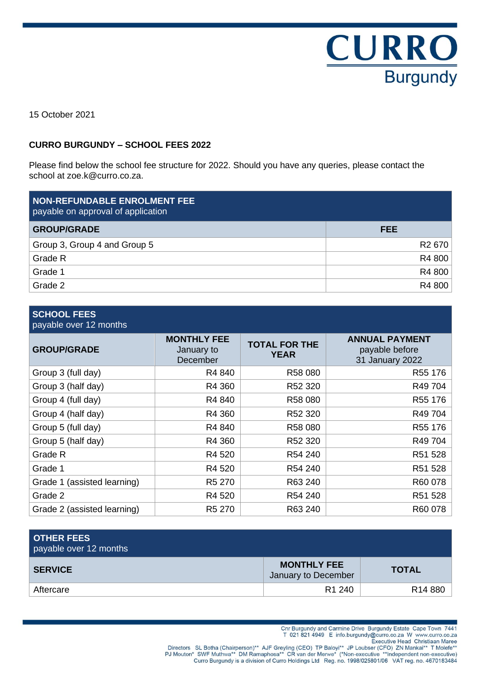

15 October 2021

## **CURRO BURGUNDY – SCHOOL FEES 2022**

Please find below the school fee structure for 2022. Should you have any queries, please contact the school at zoe.k@curro.co.za.

| <b>NON-REFUNDABLE ENROLMENT FEE</b><br>payable on approval of application |                    |
|---------------------------------------------------------------------------|--------------------|
| <b>GROUP/GRADE</b>                                                        | <b>FEE</b>         |
| Group 3, Group 4 and Group 5                                              | R <sub>2</sub> 670 |
| Grade R                                                                   | R4 800             |
| Grade 1                                                                   | R4 800             |
| Grade 2                                                                   | R4 800             |

## **SCHOOL FEES**

payable over 12 months

| <b>GROUP/GRADE</b>          | <b>MONTHLY FEE</b><br>January to<br>December | <b>TOTAL FOR THE</b><br><b>YEAR</b> | <b>ANNUAL PAYMENT</b><br>payable before<br>31 January 2022 |
|-----------------------------|----------------------------------------------|-------------------------------------|------------------------------------------------------------|
| Group 3 (full day)          | R4 840                                       | R58 080                             | R55 176                                                    |
| Group 3 (half day)          | R4 360                                       | R52 320                             | R49 704                                                    |
| Group 4 (full day)          | R4 840                                       | R58 080                             | R55 176                                                    |
| Group 4 (half day)          | R4 360                                       | R52 320                             | R49 704                                                    |
| Group 5 (full day)          | R4 840                                       | R58 080                             | R55 176                                                    |
| Group 5 (half day)          | R4 360                                       | R52 320                             | R49 704                                                    |
| Grade R                     | R4 520                                       | R54 240                             | R51 528                                                    |
| Grade 1                     | R4 520                                       | R54 240                             | R51 528                                                    |
| Grade 1 (assisted learning) | R5 270                                       | R63 240                             | R60 078                                                    |
| Grade 2                     | R4 520                                       | R54 240                             | R51 528                                                    |
| Grade 2 (assisted learning) | R5 270                                       | R63 240                             | R60 078                                                    |

| <b>OTHER FEES</b><br>payable over 12 months |                                           |                     |
|---------------------------------------------|-------------------------------------------|---------------------|
| <b>SERVICE</b>                              | <b>MONTHLY FEE</b><br>January to December | <b>TOTAL</b>        |
| Aftercare                                   | R <sub>1</sub> 240                        | R <sub>14</sub> 880 |

Cnr Burgundy and Carmine Drive Burgundy Estate Cape Town 7441

T 021 821 4949 E info.burgundy@curro.co.za W www.curro.co.za

Directors SL Botha (Chairperson)\*\* AJF Greyling (CEO) TP Baloyi\*\* JP Loubser (CFO) ZN Mankai\*\* T Molefe\*<br>PJ Mouton\* SWF Muthwa\*\* DM Ramaphosa\*\* CR van der Merwe\* (\*Non-executive \*\*Independent non-executive)<br>Curro Burgundy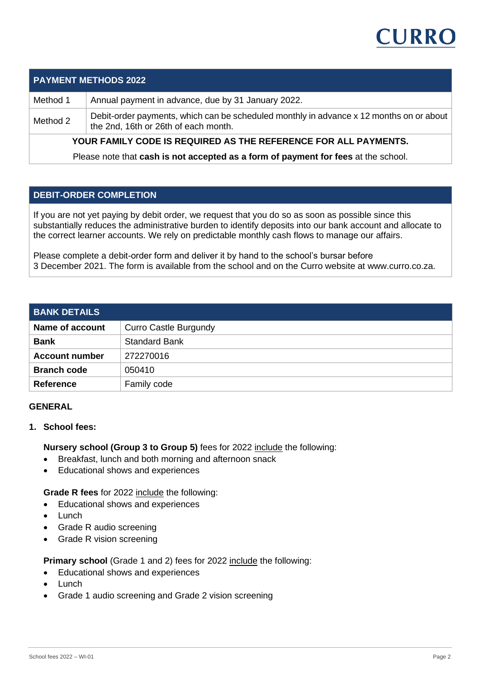# CURRO

## **PAYMENT METHODS 2022**

Method 1 Annual payment in advance, due by 31 January 2022.

Method 2  $\Box$  Debit-order payments, which can be scheduled monthly in advance x 12 months on or about the 2nd, 16th or 26th of each month.

**YOUR FAMILY CODE IS REQUIRED AS THE REFERENCE FOR ALL PAYMENTS.**

Please note that **cash is not accepted as a form of payment for fees** at the school.

## **DEBIT-ORDER COMPLETION**

If you are not yet paying by debit order, we request that you do so as soon as possible since this substantially reduces the administrative burden to identify deposits into our bank account and allocate to the correct learner accounts. We rely on predictable monthly cash flows to manage our affairs.

Please complete a debit-order form and deliver it by hand to the school's bursar before 3 December 2021. The form is available from the school and on the Curro website at www.curro.co.za.

| <b>BANK DETAILS</b>   |                              |
|-----------------------|------------------------------|
| Name of account       | <b>Curro Castle Burgundy</b> |
| <b>Bank</b>           | <b>Standard Bank</b>         |
| <b>Account number</b> | 272270016                    |
| <b>Branch code</b>    | 050410                       |
| <b>Reference</b>      | Family code                  |

#### **GENERAL**

**1. School fees:**

**Nursery school (Group 3 to Group 5)** fees for 2022 include the following:

- Breakfast, lunch and both morning and afternoon snack
- Educational shows and experiences

**Grade R fees** for 2022 include the following:

- Educational shows and experiences
- **Lunch**
- Grade R audio screening
- Grade R vision screening

**Primary school** (Grade 1 and 2) fees for 2022 include the following:

- Educational shows and experiences
- **Lunch**
- Grade 1 audio screening and Grade 2 vision screening